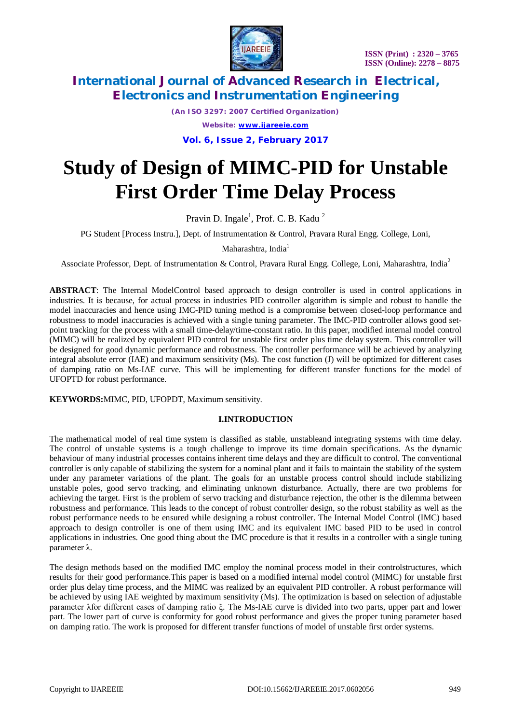

*(An ISO 3297: 2007 Certified Organization) Website: [www.ijareeie.com](http://www.ijareeie.com)*

**Vol. 6, Issue 2, February 2017**

# **Study of Design of MIMC-PID for Unstable First Order Time Delay Process**

Pravin D. Ingale<sup>1</sup>, Prof. C. B. Kadu<sup>2</sup>

PG Student [Process Instru.], Dept. of Instrumentation & Control, Pravara Rural Engg. College, Loni,

Maharashtra, India $<sup>1</sup>$ </sup>

Associate Professor, Dept. of Instrumentation & Control, Pravara Rural Engg. College, Loni, Maharashtra, India<sup>2</sup>

**ABSTRACT**: The Internal ModelControl based approach to design controller is used in control applications in industries. It is because, for actual process in industries PID controller algorithm is simple and robust to handle the model inaccuracies and hence using IMC-PID tuning method is a compromise between closed-loop performance and robustness to model inaccuracies is achieved with a single tuning parameter. The IMC-PID controller allows good setpoint tracking for the process with a small time-delay/time-constant ratio. In this paper, modified internal model control (MIMC) will be realized by equivalent PID control for unstable first order plus time delay system. This controller will be designed for good dynamic performance and robustness. The controller performance will be achieved by analyzing integral absolute error (IAE) and maximum sensitivity (Ms). The cost function (J) will be optimized for different cases of damping ratio on Ms-IAE curve. This will be implementing for different transfer functions for the model of UFOPTD for robust performance.

**KEYWORDS:**MIMC, PID, UFOPDT, Maximum sensitivity.

#### **I.INTRODUCTION**

The mathematical model of real time system is classified as stable, unstableand integrating systems with time delay. The control of unstable systems is a tough challenge to improve its time domain specifications. As the dynamic behaviour of many industrial processes contains inherent time delays and they are difficult to control. The conventional controller is only capable of stabilizing the system for a nominal plant and it fails to maintain the stability of the system under any parameter variations of the plant. The goals for an unstable process control should include stabilizing unstable poles, good servo tracking, and eliminating unknown disturbance. Actually, there are two problems for achieving the target. First is the problem of servo tracking and disturbance rejection, the other is the dilemma between robustness and performance. This leads to the concept of robust controller design, so the robust stability as well as the robust performance needs to be ensured while designing a robust controller. The Internal Model Control (IMC) based approach to design controller is one of them using IMC and its equivalent IMC based PID to be used in control applications in industries. One good thing about the IMC procedure is that it results in a controller with a single tuning parameter λ.

The design methods based on the modified IMC employ the nominal process model in their controlstructures, which results for their good performance.This paper is based on a modified internal model control (MIMC) for unstable first order plus delay time process, and the MIMC was realized by an equivalent PID controller. A robust performance will be achieved by using IAE weighted by maximum sensitivity (Ms). The optimization is based on selection of adjustable parameter λfor different cases of damping ratio ξ. The Ms-IAE curve is divided into two parts, upper part and lower part. The lower part of curve is conformity for good robust performance and gives the proper tuning parameter based on damping ratio. The work is proposed for different transfer functions of model of unstable first order systems.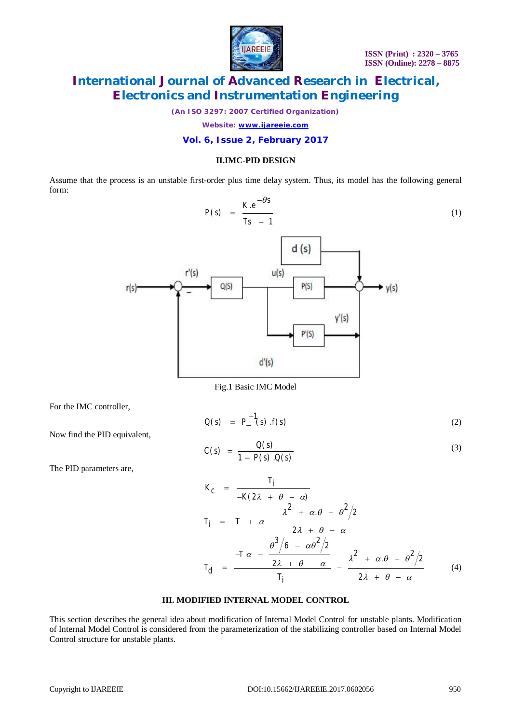

(1)

# **International Journal of Advanced Research in Electrical, Electronics and Instrumentation Engineering**

*(An ISO 3297: 2007 Certified Organization)*

*Website: [www.ijareeie.com](http://www.ijareeie.com)*

#### **Vol. 6, Issue 2, February 2017**

#### **II.IMC-PID DESIGN**

Assume that the process is an unstable first-order plus time delay system. Thus, its model has the following general form:

$$
P(s) = \frac{K \cdot e^{-\theta s}}{Ts - 1}
$$
\n
$$
u(s)
$$
\n
$$
v'(s)
$$
\n
$$
v'(s)
$$
\n
$$
v'(s)
$$
\n
$$
v'(s)
$$

Fig.1 Basic IMC Model

 $d'(s)$ 

*Ti*

For the IMC controller,

$$
Q(s) = P_{-}^{-1}(s) \cdot f(s) \tag{2}
$$

Now find the PID equivalent,

 $r(s)$ -

$$
C(s) = \frac{Q(s)}{1 - P(s) \cdot Q(s)}\tag{3}
$$

The PID parameters are,

$$
K_C = \frac{T_I}{-K(2\lambda + \theta - \alpha)}
$$
  
\n
$$
T_I = -T + \alpha - \frac{\lambda^2 + \alpha \theta - \theta^2/2}{2\lambda + \theta - \alpha}
$$
  
\n
$$
T_d = \frac{\theta^3/6 - \alpha\theta^2/2}{2\lambda + \theta - \alpha} - \frac{\lambda^2 + \alpha \theta - \theta^2/2}{2\lambda + \theta - \alpha}
$$
 (4)

### **III. MODIFIED INTERNAL MODEL CONTROL**

This section describes the general idea about modification of Internal Model Control for unstable plants. Modification of Internal Model Control is considered from the parameterization of the stabilizing controller based on Internal Model Control structure for unstable plants.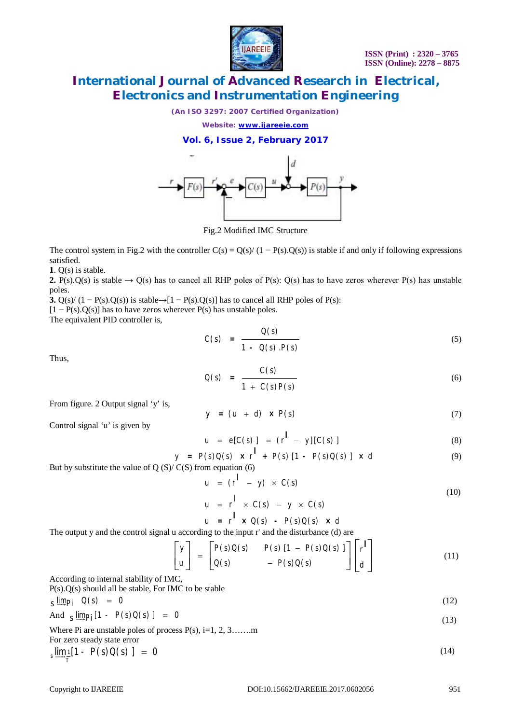

*(An ISO 3297: 2007 Certified Organization)*

*Website: [www.ijareeie.com](http://www.ijareeie.com)*

**Vol. 6, Issue 2, February 2017**



Fig.2 Modified IMC Structure

The control system in Fig.2 with the controller  $C(s) = Q(s)/(1 - P(s)Q(s))$  is stable if and only if following expressions satisfied.

**1**. Q(s) is stable.

**2.** P(s). $Q(s)$  is stable  $\rightarrow Q(s)$  has to cancel all RHP poles of P(s):  $Q(s)$  has to have zeros wherever P(s) has unstable poles.

**3.** Q(s)/ (1 − P(s).Q(s)) is stable→[1 − P(s).Q(s)] has to cancel all RHP poles of P(s):

 $[1 - P(s) \cdot Q(s)]$  has to have zeros wherever  $P(s)$  has unstable poles.

The equivalent PID controller is,

$$
C(s) = \frac{Q(s)}{1 - Q(s) \cdot P(s)}
$$
\n
$$
(5)
$$

Thus,

$$
Q(s) = \frac{C(s)}{1 + C(s)P(s)}\tag{6}
$$

From figure. 2 Output signal 'y' is,

$$
y = (u + d) \times P(s) \tag{7}
$$

Control signal 'u' is given by

$$
u = e[C(s)] = (r^{\prime} - y][C(s)] \tag{8}
$$

$$
y = P(s)Q(s) \times r^{\mathbf{l}} + P(s)[1 - P(s)Q(s)] \times d
$$
 (9)  
(C(S) from equation (6)

But by substitute the value of  $Q(S)/C(S)$  from equation (6)

$$
u = (r^1 - y) \times C(s) \tag{10}
$$

$$
u = r^1 \times C(s) - y \times C(s)
$$

$$
u = r^{\mathsf{T}} \times Q(s) - P(s)Q(s) \times d
$$
  
in a to the input *s* and the dicturbence (d) or

The output y and the control signal u according to the input r' and the disturbance (d) are

$$
\begin{bmatrix} y \\ u \end{bmatrix} = \begin{bmatrix} P(s)Q(s) & P(s) \left[1 - P(s)Q(s)\right] \\ Q(s) & -P(s)Q(s) \end{bmatrix} \begin{bmatrix} t \\ d \end{bmatrix}
$$
(11)

According to internal stability of IMC, P(s).Q(s) should all be stable, For IMC to be stable

$$
S \lim_{s \to s} p_j \quad Q(s) = 0 \tag{12}
$$

And 
$$
\frac{\sin p_i}{1 - P(s)Q(s)} = 0
$$
 (13)

Where Pi are unstable poles of process  $P(s)$ , i=1, 2, 3…….m For zero steady state error

$$
\lim_{s \to 0} \frac{1}{r} [1 - P(s)Q(s)] = 0
$$
 (14)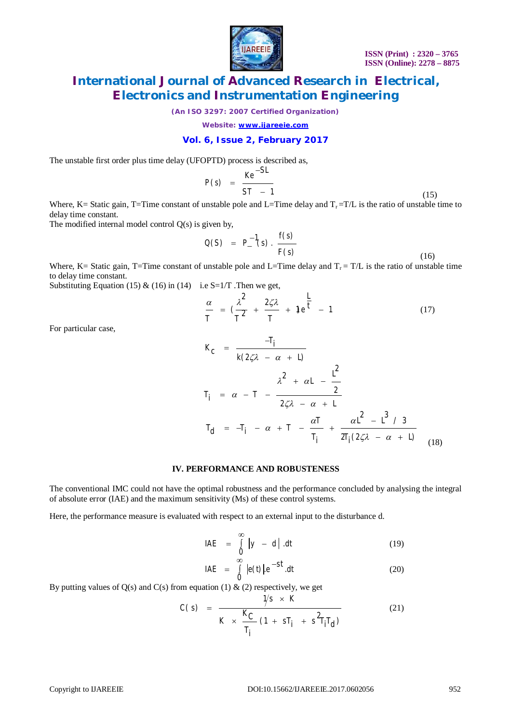



*(An ISO 3297: 2007 Certified Organization)*

*Website: [www.ijareeie.com](http://www.ijareeie.com)*

### **Vol. 6, Issue 2, February 2017**

The unstable first order plus time delay (UFOPTD) process is described as,

$$
P(s) = \frac{Ke^{-SL}}{ST - 1}
$$
 (15)

Where, K= Static gain, T=Time constant of unstable pole and L=Time delay and  $T_r = T/L$  is the ratio of unstable time to delay time constant.

The modified internal model control  $Q(s)$  is given by,

$$
Q(S) = P_{-}^{-1}(s) \cdot \frac{f(s)}{F(s)}
$$
(16)

Where, K= Static gain, T=Time constant of unstable pole and L=Time delay and  $T_r = T/L$  is the ratio of unstable time to delay time constant.

Substituting Equation (15) & (16) in (14) i.e S=1/T. Then we get,

$$
\frac{\alpha}{T} = \left(\frac{\lambda^2}{T^2} + \frac{2\zeta\lambda}{T} + \mathfrak{f}e^{\frac{L}{t}} - 1\right)
$$
\n(17)

For particular case,

$$
K_C = \frac{-T_i}{k(2\zeta\lambda - \alpha + L)}
$$
  
\n
$$
T_i = \alpha - T - \frac{\lambda^2 + \alpha L - \frac{L^2}{2}}{2\zeta\lambda - \alpha + L}
$$
  
\n
$$
T_d = -T_i - \alpha + T - \frac{\alpha T}{T_i} + \frac{\alpha L^2 - L^3 / 3}{2T_i(2\zeta\lambda - \alpha + L)}
$$
(18)

#### **IV. PERFORMANCE AND ROBUSTENESS**

The conventional IMC could not have the optimal robustness and the performance concluded by analysing the integral of absolute error (IAE) and the maximum sensitivity (Ms) of these control systems.

Here, the performance measure is evaluated with respect to an external input to the disturbance d.

$$
IAE = \int_{0}^{\infty} |y - d| dt
$$
 (19)

$$
IAE = \int_{0}^{\infty} |e(t)| \cdot e^{-St} \cdot dt \tag{20}
$$

By putting values of  $Q(s)$  and  $C(s)$  from equation (1) & (2) respectively, we get

$$
C(s) = \frac{\gamma s \times K}{K \times \frac{K_C}{T_i} (1 + sT_i + s^2 T_i T_d)}
$$
(21)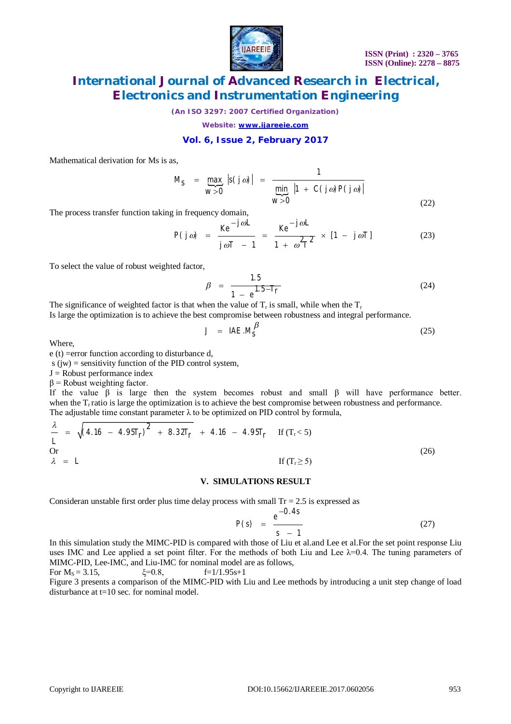

*(An ISO 3297: 2007 Certified Organization)*

*Website: [www.ijareeie.com](http://www.ijareeie.com)*

### **Vol. 6, Issue 2, February 2017**

Mathematical derivation for Ms is as,

 $\overline{\mathbb{C}}$ min 1 max  $|S(j\omega)|$  $\overline{0}$  min |1 + C(j ω)P(j ω)| 0  $=$  max  $|s(j\omega)| =$  $\frac{1}{20}$  min |1 +  $\frac{1}{2}$  $M_S$  =  $\max_{s}$  |s(*j*  $\alpha$  $\overline{w > 0}$  **c**  $\overline{w}$  **p**  $|1 + C(j\omega)P(j\omega)|$ *w*  $\omega$ )| =  $\frac{1}{\min \left| 1 + C(j\omega)P(j\omega) \right|}$ (22)

The process transfer function taking in frequency domain,

$$
P(j\omega) = \frac{Ke^{-j\omega L}}{j\omega T - 1} = \frac{Ke^{-j\omega L}}{1 + \omega^2 T^2} \times [1 - j\omega T]
$$
 (23)

To select the value of robust weighted factor,

$$
\beta = \frac{1.5}{1 - e^{1.5 - T}r} \tag{24}
$$

The significance of weighted factor is that when the value of  $T_r$  is small, while when the  $T_r$ 

Is large the optimization is to achieve the best compromise between robustness and integral performance.

$$
J = IAE.M_S^{\beta} \tag{25}
$$

Where,

e (t) =error function according to disturbance d,

 $s$  (jw) = sensitivity function of the PID control system,

 $J =$ Robust performance index

 $β =$ Robust weighting factor.

If the value  $\beta$  is large then the system becomes robust and small  $\beta$  will have performance better. when the T<sub>r</sub> ratio is large the optimization is to achieve the best compromise between robustness and performance. The adjustable time constant parameter  $\lambda$  to be optimized on PID control by formula,

$$
\frac{\lambda}{L} = \sqrt{(4.16 - 4.95T_f)^2 + 8.32T_f} + 4.16 - 4.95T_f \text{ If } (T_r < 5)
$$
  
Or  

$$
\lambda = L \text{ If } (T_r \ge 5)
$$
 (26)

#### **V. SIMULATIONS RESULT**

Consideran unstable first order plus time delay process with small  $Tr = 2.5$  is expressed as

$$
P(s) = \frac{e^{-0.4s}}{s - 1}
$$
 (27)

In this simulation study the MIMC-PID is compared with those of Liu et al. and Lee et al. For the set point response Liu uses IMC and Lee applied a set point filter. For the methods of both Liu and Lee  $\lambda=0.4$ . The tuning parameters of MIMC-PID, Lee-IMC, and Liu-IMC for nominal model are as follows, For  $M_s = 3.15$ ,  $\xi = 0.8$ ,  $f=1/1.95s+1$ 

Figure 3 presents a comparison of the MIMC-PID with Liu and Lee methods by introducing a unit step change of load disturbance at  $t=10$  sec. for nominal model.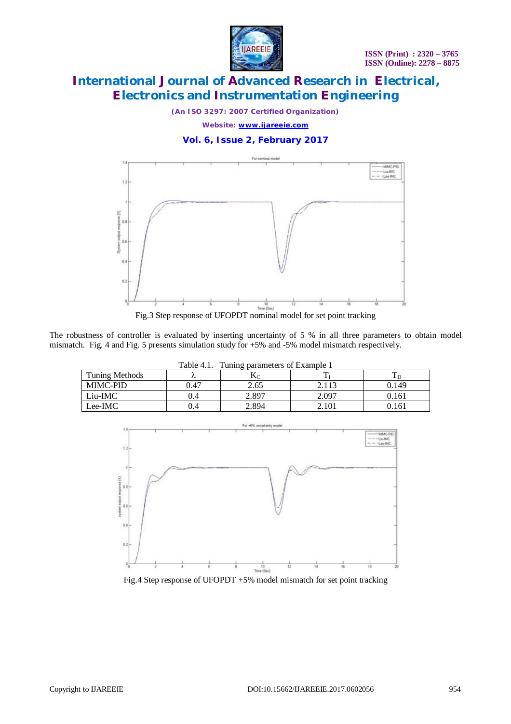

*(An ISO 3297: 2007 Certified Organization) Website: [www.ijareeie.com](http://www.ijareeie.com)*

**Vol. 6, Issue 2, February 2017**



Fig.3 Step response of UFOPDT nominal model for set point tracking

The robustness of controller is evaluated by inserting uncertainty of 5 % in all three parameters to obtain model mismatch. Fig. 4 and Fig. 5 presents simulation study for +5% and -5% model mismatch respectively.

| Table 4.1.<br>Tuning parameters of Example 1 |      |       |       |       |  |  |  |
|----------------------------------------------|------|-------|-------|-------|--|--|--|
| Tuning Methods                               |      |       |       |       |  |  |  |
| <b>MIMC-PID</b>                              | 0.47 | 2.65  | 2.113 | 0.149 |  |  |  |
| Liu-IMC                                      | 0.4  | 2.897 | 2.097 | 0.161 |  |  |  |
| Lee-IMC                                      | 0.4  | 2.894 | 2.101 | 0.161 |  |  |  |



Fig.4 Step response of UFOPDT +5% model mismatch for set point tracking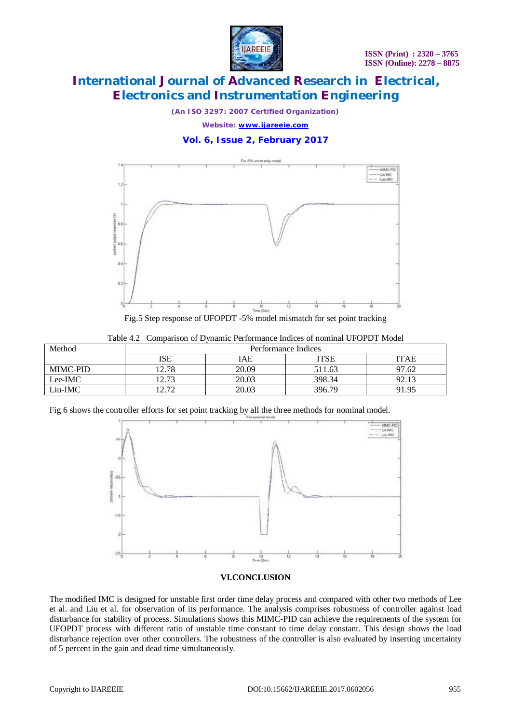

*(An ISO 3297: 2007 Certified Organization)*

*Website: [www.ijareeie.com](http://www.ijareeie.com)*

### **Vol. 6, Issue 2, February 2017**



Fig.5 Step response of UFOPDT -5% model mismatch for set point tracking

|  |  |  | Table 4.2 Comparison of Dynamic Performance Indices of nominal UFOPDT Model |  |  |  |  |
|--|--|--|-----------------------------------------------------------------------------|--|--|--|--|
|--|--|--|-----------------------------------------------------------------------------|--|--|--|--|

| Method          | Performance Indices |       |        |             |  |  |
|-----------------|---------------------|-------|--------|-------------|--|--|
|                 | ISE                 | IAE   | ITSE   | <b>ITAE</b> |  |  |
| <b>MIMC-PID</b> | 12.78               | 20.09 | 511.63 | 97.62       |  |  |
| Lee-IMC         | 12.73               | 20.03 | 398.34 | 92.13       |  |  |
| Liu-IMC         | 1 7 7 7             | 20.03 | 396.79 | 91.95       |  |  |

Fig 6 shows the controller efforts for set point tracking by all the three methods for nominal model.



#### **VI.CONCLUSION**

The modified IMC is designed for unstable first order time delay process and compared with other two methods of Lee et al. and Liu et al. for observation of its performance. The analysis comprises robustness of controller against load disturbance for stability of process. Simulations shows this MIMC-PID can achieve the requirements of the system for UFOPDT process with different ratio of unstable time constant to time delay constant. This design shows the load disturbance rejection over other controllers. The robustness of the controller is also evaluated by inserting uncertainty of 5 percent in the gain and dead time simultaneously.